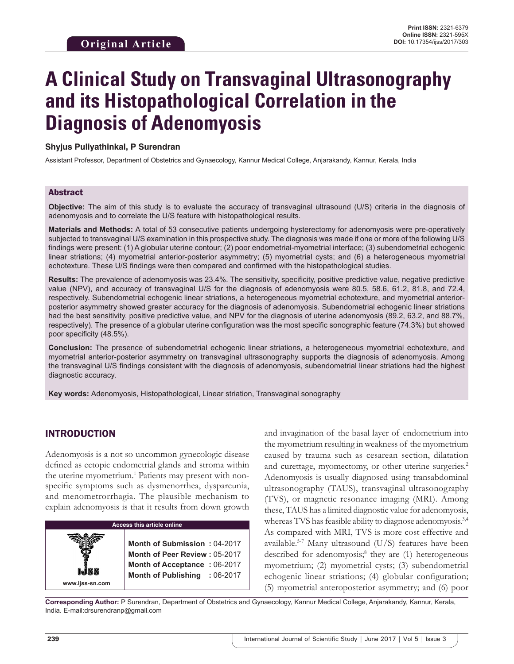# **A Clinical Study on Transvaginal Ultrasonography and its Histopathological Correlation in the Diagnosis of Adenomyosis**

#### **Shyjus Puliyathinkal, P Surendran**

Assistant Professor, Department of Obstetrics and Gynaecology, Kannur Medical College, Anjarakandy, Kannur, Kerala, India

#### Abstract

**Objective:** The aim of this study is to evaluate the accuracy of transvaginal ultrasound (U/S) criteria in the diagnosis of adenomyosis and to correlate the U/S feature with histopathological results.

**Materials and Methods:** A total of 53 consecutive patients undergoing hysterectomy for adenomyosis were pre-operatively subjected to transvaginal U/S examination in this prospective study. The diagnosis was made if one or more of the following U/S findings were present: (1) A globular uterine contour; (2) poor endometrial-myometrial interface; (3) subendometrial echogenic linear striations; (4) myometrial anterior-posterior asymmetry; (5) myometrial cysts; and (6) a heterogeneous myometrial echotexture. These U/S findings were then compared and confirmed with the histopathological studies.

**Results:** The prevalence of adenomyosis was 23.4%. The sensitivity, specificity, positive predictive value, negative predictive value (NPV), and accuracy of transvaginal U/S for the diagnosis of adenomyosis were 80.5, 58.6, 61.2, 81.8, and 72.4, respectively. Subendometrial echogenic linear striations, a heterogeneous myometrial echotexture, and myometrial anteriorposterior asymmetry showed greater accuracy for the diagnosis of adenomyosis. Subendometrial echogenic linear striations had the best sensitivity, positive predictive value, and NPV for the diagnosis of uterine adenomyosis (89.2, 63.2, and 88.7%, respectively). The presence of a globular uterine configuration was the most specific sonographic feature (74.3%) but showed poor specificity (48.5%).

**Conclusion:** The presence of subendometrial echogenic linear striations, a heterogeneous myometrial echotexture, and myometrial anterior-posterior asymmetry on transvaginal ultrasonography supports the diagnosis of adenomyosis. Among the transvaginal U/S findings consistent with the diagnosis of adenomyosis, subendometrial linear striations had the highest diagnostic accuracy.

**Key words:** Adenomyosis, Histopathological, Linear striation, Transvaginal sonography

## INTRODUCTION

Adenomyosis is a not so uncommon gynecologic disease defined as ectopic endometrial glands and stroma within the uterine myometrium.<sup>1</sup> Patients may present with nonspecific symptoms such as dysmenorrhea, dyspareunia, and menometrorrhagia. The plausible mechanism to explain adenomyosis is that it results from down growth



and invagination of the basal layer of endometrium into the myometrium resulting in weakness of the myometrium caused by trauma such as cesarean section, dilatation and curettage, myomectomy, or other uterine surgeries.<sup>2</sup> Adenomyosis is usually diagnosed using transabdominal ultrasonography (TAUS), transvaginal ultrasonography (TVS), or magnetic resonance imaging (MRI). Among these, TAUS has a limited diagnostic value for adenomyosis, whereas TVS has feasible ability to diagnose adenomyosis.<sup>3,4</sup> As compared with MRI, TVS is more cost effective and available.<sup>5-7</sup> Many ultrasound (U/S) features have been described for adenomyosis;<sup>8</sup> they are (1) heterogeneous myometrium; (2) myometrial cysts; (3) subendometrial echogenic linear striations; (4) globular configuration; (5) myometrial anteroposterior asymmetry; and (6) poor

**Corresponding Author:** P Surendran, Department of Obstetrics and Gynaecology, Kannur Medical College, Anjarakandy, Kannur, Kerala, India. E-mail:drsurendranp@gmail.com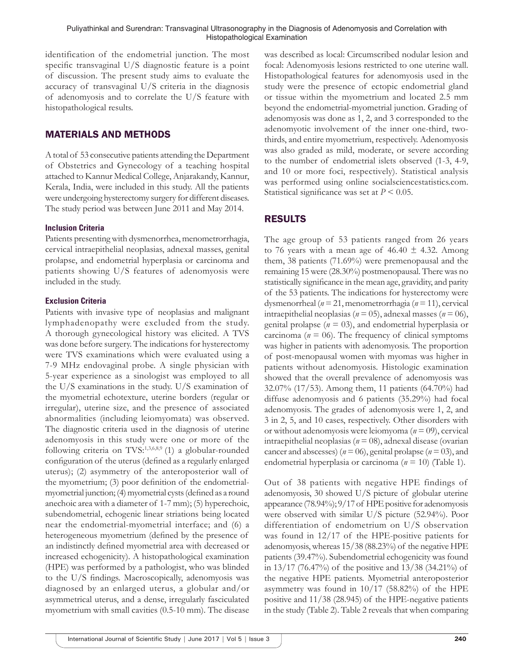identification of the endometrial junction. The most specific transvaginal U/S diagnostic feature is a point of discussion. The present study aims to evaluate the accuracy of transvaginal U/S criteria in the diagnosis of adenomyosis and to correlate the U/S feature with histopathological results.

# MATERIALS AND METHODS

A total of 53 consecutive patients attending the Department of Obstetrics and Gynecology of a teaching hospital attached to Kannur Medical College, Anjarakandy, Kannur, Kerala, India, were included in this study. All the patients were undergoing hysterectomy surgery for different diseases. The study period was between June 2011 and May 2014.

# **Inclusion Criteria**

Patients presenting with dysmenorrhea, menometrorrhagia, cervical intraepithelial neoplasias, adnexal masses, genital prolapse, and endometrial hyperplasia or carcinoma and patients showing U/S features of adenomyosis were included in the study.

# **Exclusion Criteria**

Patients with invasive type of neoplasias and malignant lymphadenopathy were excluded from the study. A thorough gynecological history was elicited. A TVS was done before surgery. The indications for hysterectomy were TVS examinations which were evaluated using a 7-9 MHz endovaginal probe. A single physician with 5-year experience as a sinologist was employed to all the U/S examinations in the study. U/S examination of the myometrial echotexture, uterine borders (regular or irregular), uterine size, and the presence of associated abnormalities (including leiomyomata) was observed. The diagnostic criteria used in the diagnosis of uterine adenomyosis in this study were one or more of the following criteria on TVS:<sup>1,3,6,8,9</sup> (1) a globular-rounded configuration of the uterus (defined as a regularly enlarged uterus); (2) asymmetry of the anteroposterior wall of the myometrium; (3) poor definition of the endometrialmyometrial junction; (4) myometrial cysts (defined as a round anechoic area with a diameter of 1-7 mm); (5) hyperechoic, subendometrial, echogenic linear striations being located near the endometrial-myometrial interface; and (6) a heterogeneous myometrium (defined by the presence of an indistinctly defined myometrial area with decreased or increased echogenicity). A histopathological examination (HPE) was performed by a pathologist, who was blinded to the U/S findings. Macroscopically, adenomyosis was diagnosed by an enlarged uterus, a globular and/or asymmetrical uterus, and a dense, irregularly fasciculated myometrium with small cavities (0.5-10 mm). The disease

was described as local: Circumscribed nodular lesion and focal: Adenomyosis lesions restricted to one uterine wall. Histopathological features for adenomyosis used in the study were the presence of ectopic endometrial gland or tissue within the myometrium and located 2.5 mm beyond the endometrial-myometrial junction. Grading of adenomyosis was done as 1, 2, and 3 corresponded to the adenomyotic involvement of the inner one-third, twothirds, and entire myometrium, respectively. Adenomyosis was also graded as mild, moderate, or severe according to the number of endometrial islets observed (1-3, 4-9, and 10 or more foci, respectively). Statistical analysis was performed using online socialsciencestatistics.com. Statistical significance was set at *P* < 0.05.

# RESULTS

The age group of 53 patients ranged from 26 years to 76 years with a mean age of  $46.40 \pm 4.32$ . Among them, 38 patients (71.69%) were premenopausal and the remaining 15 were (28.30%) postmenopausal. There was no statistically significance in the mean age, gravidity, and parity of the 53 patients. The indications for hysterectomy were dysmenorrheal (*n* = 21, menometrorrhagia (*n* = 11), cervical intraepithelial neoplasias ( $n = 05$ ), adnexal masses ( $n = 06$ ), genital prolapse (*n* = 03), and endometrial hyperplasia or carcinoma ( $n = 06$ ). The frequency of clinical symptoms was higher in patients with adenomyosis. The proportion of post-menopausal women with myomas was higher in patients without adenomyosis. Histologic examination showed that the overall prevalence of adenomyosis was 32.07% (17/53). Among them, 11 patients (64.70%) had diffuse adenomyosis and 6 patients (35.29%) had focal adenomyosis. The grades of adenomyosis were 1, 2, and 3 in 2, 5, and 10 cases, respectively. Other disorders with or without adenomyosis were leiomyoma (*n* = 09), cervical intraepithelial neoplasias (*n* = 08), adnexal disease (ovarian cancer and abscesses) ( $n = 06$ ), genital prolapse ( $n = 03$ ), and endometrial hyperplasia or carcinoma (*n* = 10) (Table 1).

Out of 38 patients with negative HPE findings of adenomyosis, 30 showed U/S picture of globular uterine appearance (78.94%); 9/17 of HPE positive for adenomyosis were observed with similar U/S picture (52.94%). Poor differentiation of endometrium on U/S observation was found in 12/17 of the HPE-positive patients for adenomyosis, whereas 15/38 (88.23%) of the negative HPE patients (39.47%). Subendometrial echogenicity was found in 13/17 (76.47%) of the positive and 13/38 (34.21%) of the negative HPE patients. Myometrial anteroposterior asymmetry was found in  $10/17$  (58.82%) of the HPE positive and 11/38 (28.945) of the HPE-negative patients in the study (Table 2). Table 2 reveals that when comparing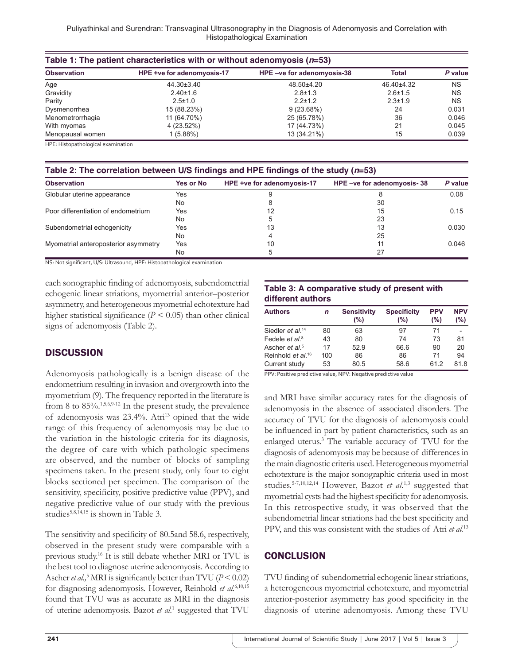| Table 1: The patient characteristics with or without adenomyosis $(n=53)$ |                            |                           |               |           |  |  |  |
|---------------------------------------------------------------------------|----------------------------|---------------------------|---------------|-----------|--|--|--|
| <b>Observation</b>                                                        | HPE +ve for adenomyosis-17 | HPE-ve for adenomyosis-38 | <b>Total</b>  | P value   |  |  |  |
| Age                                                                       | 44.30±3.40                 | 48.50±4.20                | 46.40±4.32    | <b>NS</b> |  |  |  |
| Gravidity                                                                 | $2.40 \pm 1.6$             | $2.8 \pm 1.3$             | $2.6 \pm 1.5$ | <b>NS</b> |  |  |  |
| Parity                                                                    | $2.5 \pm 1.0$              | $2.2 \pm 1.2$             | $2.3 \pm 1.9$ | <b>NS</b> |  |  |  |
| Dysmenorrhea                                                              | 15 (88.23%)                | $9(23.68\%)$              | 24            | 0.031     |  |  |  |
| Menometrorrhagia                                                          | 11 (64.70%)                | 25 (65.78%)               | 36            | 0.046     |  |  |  |
| With myomas                                                               | 4(23.52%)                  | 17 (44.73%)               | 21            | 0.045     |  |  |  |
| Menopausal women                                                          | 1(5.88%)                   | 13 (34.21%)               | 15            | 0.039     |  |  |  |

HPE: Histopathological examination

|  |  | Table 2: The correlation between U/S findings and HPE findings of the study (n=53) |  |  |  |  |  |
|--|--|------------------------------------------------------------------------------------|--|--|--|--|--|
|--|--|------------------------------------------------------------------------------------|--|--|--|--|--|

| <b>Observation</b>                   | Yes or No | HPE +ve for adenomyosis-17 | HPE-ve for adenomyosis-38 | P value |
|--------------------------------------|-----------|----------------------------|---------------------------|---------|
| Globular uterine appearance          | Yes       |                            |                           | 0.08    |
|                                      | No        |                            | 30                        |         |
| Poor differentiation of endometrium  | Yes       | 12                         | 15                        | 0.15    |
|                                      | No.       |                            | 23                        |         |
| Subendometrial echogenicity          | Yes       | 13                         | 13                        | 0.030   |
|                                      | No        |                            | 25                        |         |
| Myometrial anteroposterior asymmetry | Yes       | 10                         |                           | 0.046   |
|                                      | No        |                            | 27                        |         |

NS: Not significant, U/S: Ultrasound, HPE: Histopathological examination

each sonographic finding of adenomyosis, subendometrial echogenic linear striations, myometrial anterior–posterior asymmetry, and heterogeneous myometrial echotexture had higher statistical significance  $(P < 0.05)$  than other clinical signs of adenomyosis (Table 2).

## **DISCUSSION**

Adenomyosis pathologically is a benign disease of the endometrium resulting in invasion and overgrowth into the myometrium (9). The frequency reported in the literature is from 8 to 85%.1,5,6,9-12 In the present study, the prevalence of adenomyosis was 23.4%. Atri<sup>13</sup> opined that the wide range of this frequency of adenomyosis may be due to the variation in the histologic criteria for its diagnosis, the degree of care with which pathologic specimens are observed, and the number of blocks of sampling specimens taken. In the present study, only four to eight blocks sectioned per specimen. The comparison of the sensitivity, specificity, positive predictive value (PPV), and negative predictive value of our study with the previous studies<sup>5,8,14,15</sup> is shown in Table 3.

The sensitivity and specificity of 80.5and 58.6, respectively, observed in the present study were comparable with a previous study.16 It is still debate whether MRI or TVU is the best tool to diagnose uterine adenomyosis. According to Ascher *et al.*,<sup>5</sup> MRI is significantly better than TVU ( $P < 0.02$ ) for diagnosing adenomyosis. However, Reinhold *et al.*6,10,15 found that TVU was as accurate as MRI in the diagnosis of uterine adenomyosis. Bazot et al.<sup>1</sup> suggested that TVU

#### **Table 3: A comparative study of present with different authors**

| <b>Authors</b>                     | n   | <b>Sensitivity</b><br>(%) | <b>Specificity</b><br>(%) | <b>PPV</b><br>(%) | <b>NPV</b><br>(%) |
|------------------------------------|-----|---------------------------|---------------------------|-------------------|-------------------|
| Siedler et al. <sup>14</sup>       | 80  | 63                        | 97                        | 71                |                   |
| Fedele et al. <sup>8</sup>         | 43  | 80                        | 74                        | 73                | 81                |
| Ascher <i>et al</i> . <sup>5</sup> | 17  | 52.9                      | 66.6                      | 90                | 20                |
| Reinhold et al. <sup>16</sup>      | 100 | 86                        | 86                        | 71                | 94                |
| Current study                      | 53  | 80.5                      | 58.6                      | 61.2              | 81.8              |

PPV: Positive predictive value, NPV: Negative predictive value

and MRI have similar accuracy rates for the diagnosis of adenomyosis in the absence of associated disorders. The accuracy of TVU for the diagnosis of adenomyosis could be influenced in part by patient characteristics, such as an enlarged uterus.<sup>3</sup> The variable accuracy of TVU for the diagnosis of adenomyosis may be because of differences in the main diagnostic criteria used. Heterogeneous myometrial echotexture is the major sonographic criteria used in most studies.5-7,10,12,14 However, Bazot *et al.*1,3 suggested that myometrial cysts had the highest specificity for adenomyosis. In this retrospective study, it was observed that the subendometrial linear striations had the best specificity and PPV, and this was consistent with the studies of Atri *et al.*<sup>13</sup>

## **CONCLUSION**

TVU finding of subendometrial echogenic linear striations, a heterogeneous myometrial echotexture, and myometrial anterior-posterior asymmetry has good specificity in the diagnosis of uterine adenomyosis. Among these TVU